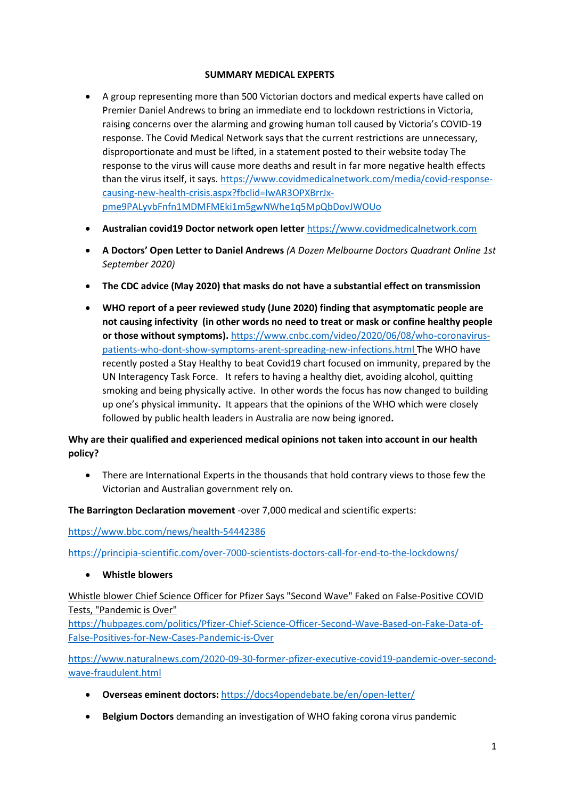## **SUMMARY MEDICAL EXPERTS**

- A group representing more than 500 Victorian doctors and medical experts have called on Premier Daniel Andrews to bring an immediate end to lockdown restrictions in Victoria, raising concerns over the alarming and growing human toll caused by Victoria's COVID-19 response. The Covid Medical Network says that the current restrictions are unnecessary, disproportionate and must be lifted, in a statement posted to their website today The response to the virus will cause more deaths and result in far more negative health effects than the virus itself, it says. [https://www.covidmedicalnetwork.com/media/covid-response](https://www.covidmedicalnetwork.com/media/covid-response-causing-new-health-crisis.aspx?fbclid=IwAR3OPXBrrJx-pme9PALyvbFnfn1MDMFMEki1m5gwNWhe1q5MpQbDovJWOUo)[causing-new-health-crisis.aspx?fbclid=IwAR3OPXBrrJx](https://www.covidmedicalnetwork.com/media/covid-response-causing-new-health-crisis.aspx?fbclid=IwAR3OPXBrrJx-pme9PALyvbFnfn1MDMFMEki1m5gwNWhe1q5MpQbDovJWOUo)[pme9PALyvbFnfn1MDMFMEki1m5gwNWhe1q5MpQbDovJWOUo](https://www.covidmedicalnetwork.com/media/covid-response-causing-new-health-crisis.aspx?fbclid=IwAR3OPXBrrJx-pme9PALyvbFnfn1MDMFMEki1m5gwNWhe1q5MpQbDovJWOUo)
- **Australian covid19 Doctor network open letter** [https://www.covidmedicalnetwork.com](https://www.covidmedicalnetwork.com/)
- **A Doctors' Open Letter to Daniel Andrews** *(A Dozen Melbourne Doctors Quadrant Online 1st September 2020)*
- **The CDC advice (May 2020) that masks do not have a substantial effect on transmission**
- **WHO report of a peer reviewed study (June 2020) finding that asymptomatic people are not causing infectivity (in other words no need to treat or mask or confine healthy people or those without symptoms).** [https://www.cnbc.com/video/2020/06/08/who-coronavirus](https://www.cnbc.com/video/2020/06/08/who-coronavirus-patients-who-dont-show-symptoms-arent-spreading-new-infections.html)[patients-who-dont-show-symptoms-arent-spreading-new-infections.html](https://www.cnbc.com/video/2020/06/08/who-coronavirus-patients-who-dont-show-symptoms-arent-spreading-new-infections.html) The WHO have recently posted a Stay Healthy to beat Covid19 chart focused on immunity, prepared by the UN Interagency Task Force. It refers to having a healthy diet, avoiding alcohol, quitting smoking and being physically active. In other words the focus has now changed to building up one's physical immunity**.** It appears that the opinions of the WHO which were closely followed by public health leaders in Australia are now being ignored**.**

## **Why are their qualified and experienced medical opinions not taken into account in our health policy?**

• There are International Experts in the thousands that hold contrary views to those few the Victorian and Australian government rely on.

**The Barrington Declaration movement** -over 7,000 medical and scientific experts:

<https://www.bbc.com/news/health-54442386>

<https://principia-scientific.com/over-7000-scientists-doctors-call-for-end-to-the-lockdowns/>

• **Whistle blowers**

Whistle blower Chief Science Officer for Pfizer Says "Second Wave" Faked on False-Positive COVID Tests, "Pandemic is Over"

[https://hubpages.com/politics/Pfizer-Chief-Science-Officer-Second-Wave-Based-on-Fake-Data-of-](https://hubpages.com/politics/Pfizer-Chief-Science-Officer-Second-Wave-Based-on-Fake-Data-of-False-Positives-for-New-Cases-Pandemic-is-Over)[False-Positives-for-New-Cases-Pandemic-is-Over](https://hubpages.com/politics/Pfizer-Chief-Science-Officer-Second-Wave-Based-on-Fake-Data-of-False-Positives-for-New-Cases-Pandemic-is-Over)

[https://www.naturalnews.com/2020-09-30-former-pfizer-executive-covid19-pandemic-over-second](https://www.naturalnews.com/2020-09-30-former-pfizer-executive-covid19-pandemic-over-second-wave-fraudulent.html)[wave-fraudulent.html](https://www.naturalnews.com/2020-09-30-former-pfizer-executive-covid19-pandemic-over-second-wave-fraudulent.html)

- **Overseas eminent doctors:** <https://docs4opendebate.be/en/open-letter/>
- **Belgium Doctors** demanding an investigation of WHO faking corona virus pandemic